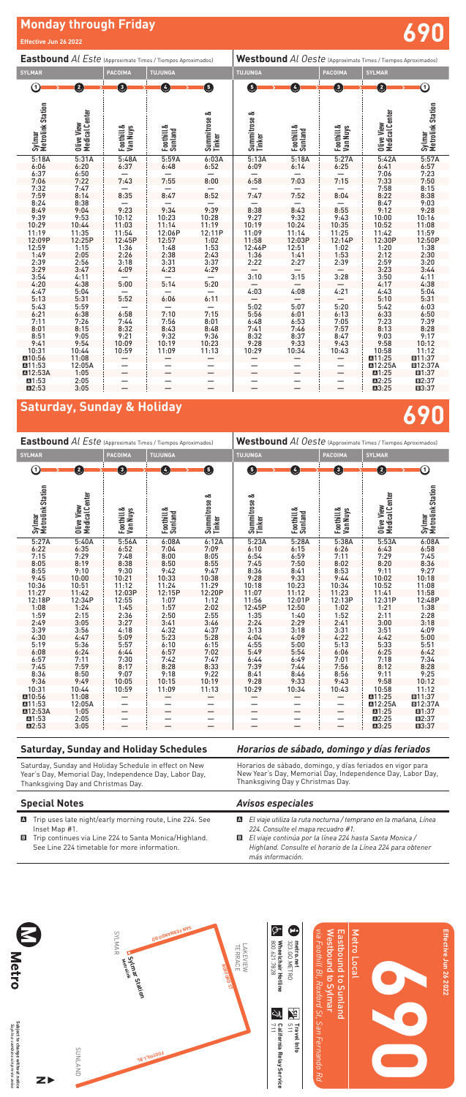## **Monday through Friday**

## **Saturday, Sunday & Holiday**

**690**

**690**

**Effective Jun 26 2022**

## **Special Notes**

A Trip uses late night/early morning route, Line 224. See Inset Map #1.

## *Avisos especiales*

A *El viaje utiliza la ruta nocturna / temprano en la mañana, Línea 224. Consulte el mapa recuadro #1.*

- 
- B Trip continues via Line 224 to Santa Monica/Highland. See Line 224 timetable for more information.
- 
- B *El viaje continúa por la línea 224 hasta Santa Monica / Highland. Consulte el horario de la Línea 224 para obtener más información.*

| <b>Eastbound Al Este (Approximate Times / Tiempos Aproximados)</b> |                              |                               |                       | Westbound Al Oeste (Approximate Times / Tiempos Aproximados) |                        |                       |                        |                              |                             |
|--------------------------------------------------------------------|------------------------------|-------------------------------|-----------------------|--------------------------------------------------------------|------------------------|-----------------------|------------------------|------------------------------|-----------------------------|
| <b>SYLMAR</b>                                                      |                              | <b>PACOIMA</b>                | <b>TUJUNGA</b>        |                                                              | <b>TUJUNGA</b>         |                       | <b>PACOIMA</b>         | <b>SYLMAR</b>                |                             |
| ⋒                                                                  | 0                            | ❸                             | $\bullet$             | ❺                                                            | G                      | Ø                     | O                      | Ø                            | ➀                           |
| Sylmar<br>Metrolink Station                                        | Olive View<br>Medical Center | Foothill &<br><b>Van Nuys</b> | Foothill &<br>Sunland | Summitrose &<br>Tinker                                       | Summitrose &<br>Tinker | Foothill &<br>Sunland | Foothill &<br>Van Nuys | Olive View<br>Medical Center | Sylmar<br>Metrolink Station |
| 5:27A                                                              | 5:40A                        | 5:56A                         | 6:08A                 | 6:12A                                                        | 5:23A                  | 5:28A                 | 5:38A                  | 5:53A                        | 6:08A                       |
| 6:22                                                               | $6:35$<br>$7:29$             | 6:52                          | 7:04                  | 7:09                                                         | 6:10                   | 6:15                  | $6:26$<br>$7:11$       | $6:43$<br>7:29               | 6:58                        |
| 7:15                                                               |                              | 7:48                          | $8:00$<br>$8:50$      | 8:05                                                         | 6:54                   | 6:59                  |                        |                              | $7:45$<br>8:36              |
| 8:05                                                               | 8:19                         | 8:38                          |                       | 8:55                                                         | 7:45                   | 7:50                  | 8:02                   | 8:20                         |                             |
| 8:55                                                               | 9:10                         | 9:30                          | 9:42                  | 9:47                                                         | 8:36                   | 8:41                  | 8:53                   | 9:11                         | 9:27                        |
| 9:45                                                               | 10:00                        | 10:21                         | 10:33                 | 10:38                                                        | 9:28                   | 9:33                  | 9:44                   | 10:02                        | 10:18                       |
| 10:36                                                              | 10:51                        | 11:12                         | 11:24                 | 11:29                                                        | 10:18                  | 10:23                 | 10:34                  | 10:52                        | 11:08                       |
| 11:27                                                              | 11:42                        | 12:03P                        | 12:15P                | 12:20P                                                       | 11:07                  | 11:12                 | 11:23                  | 11:41<br>12:31P              | 11:58                       |
| 12:18P                                                             | 12:34P                       | 12:55                         | $\frac{1:07}{1:57}$   | 1:12                                                         | 11:56                  | 12:01P                | 12:13P                 |                              | 12:48P                      |
| 1:08                                                               | 1:24                         | 1:45                          |                       | 2:02                                                         | 12:45P                 | 12:50                 | 1:02                   | 1:21                         | 1:38                        |
| 1:59                                                               | 2:15                         | 2:36                          | 2:50                  | 2:55                                                         | 1:35                   | 1:40                  | 1:52                   | 2:11                         | 2:28                        |
| 2:49                                                               | 3:05                         | 3:27                          |                       |                                                              | 2:24                   | 2:29                  | 2:41                   | 3:00                         | 3:18                        |
| 3:39                                                               | 3:56                         | 4:18                          | $3:41$<br>$4:32$      | $3:46$<br>4:37                                               | 3:13                   | 3:18                  | 3:31                   | 3:51                         | $4:09$<br>$5:00$            |
| 4:30                                                               | 4:47                         | 5:09                          | 5:23                  | 5:28                                                         | 4:04                   | 4:09                  | 4:22                   | 4:42                         |                             |
| 5:19                                                               | 5:36                         | 5:57                          | 6:10                  | 6:15                                                         | 4:55                   | 5:00                  | 5:13                   | 5:33                         | 5:51                        |
| 6:08                                                               | 6:24                         | 6:44                          | 6:57                  | 7:02                                                         | 5:49                   | 5:54                  | 6:06                   | 6:25                         | 6:42                        |
| 6:57                                                               | 7:11                         | 7:30                          | 7:42                  | 7:47                                                         | 6:44                   | 6:49                  | 7:01                   | 7:18                         | 7:34                        |
| 7:45                                                               | 7:59                         | 8:17                          | 8:28                  | 8:33                                                         | 7:39                   | 7:44                  | 7:56                   | 8:12                         | 8:28                        |
| 8:36                                                               | 8:50                         | 9:07                          | 9:18                  | 9:22                                                         | 8:41                   | 8:46                  | 8:56                   | 9:11                         | 9:25                        |
| 9:36                                                               | 9:49                         | 10:05                         | 10:15                 | 10:19                                                        | 9:28                   | 9:33                  | 9:43                   | 9:58                         | 10:12                       |
| 10:31                                                              | 10:44                        | 10:59                         | 11:09                 | 11:13                                                        | 10:29                  | 10:34                 | 10:43                  | 10:58                        | 11:12                       |
| ■10:56                                                             | 11:08                        |                               |                       |                                                              |                        |                       |                        | ■11:25                       | ■11:37                      |
| <b>A11:53</b>                                                      | 12:05A                       |                               |                       |                                                              |                        |                       |                        | <b>M12:25A</b>               | <b>E12:37A</b>              |
| <b>⊠12:53A</b>                                                     | 1:05                         |                               |                       |                                                              |                        |                       |                        | ■1:25                        | ■1:37                       |
| ■1:53                                                              | 2:05                         |                               |                       |                                                              |                        |                       |                        | ■2:25                        | ■2:37                       |
| M2:53                                                              | 3:05                         |                               |                       |                                                              |                        |                       |                        | ■3:25                        | ■3:37                       |
|                                                                    |                              |                               |                       |                                                              |                        |                       |                        |                              |                             |

|                             |                                      |                        | <b>Eastbound</b> Al Este (Approximate Times / Tiempos Aproximados) |                        |                        |                       | Westbound Al Oeste (Approximate Times / Tiempos Aproximados) |                              |                             |
|-----------------------------|--------------------------------------|------------------------|--------------------------------------------------------------------|------------------------|------------------------|-----------------------|--------------------------------------------------------------|------------------------------|-----------------------------|
| <b>SYLMAR</b>               |                                      | <b>PACOIMA</b>         | <b>TUJUNGA</b>                                                     |                        | <b>TUJUNGA</b>         |                       | <b>PACOIMA</b>                                               | <b>SYLMAR</b>                |                             |
| ➀                           | Ø                                    | 0                      | $\left  \mathbf{A} \right $                                        | ❺                      | G                      | $\bullet$             | 0                                                            | Ø                            | の                           |
| Sylmar<br>Metrolink Station | <b>Olive View<br/>Medical Center</b> | Foothill &<br>Van Nuys | Foothill &<br>Sunland                                              | Summitrose &<br>Tinker | Summitrose &<br>Tinker | Foothill &<br>Sunland | Foothill &<br>Van Nuys                                       | Olive View<br>Medical Center | Sylmar<br>Metrolink Station |
| 5:18A                       | 5:31A                                | 5:48A                  | 5:59A                                                              | 6:03A                  | 5:13A                  | 5:18A                 | 5:27A                                                        | 5:42A                        | 5:57A                       |
| 6:06                        | 6:20                                 | 6:37                   | 6:48                                                               | 6:52                   | 6:09                   | 6:14                  | 6:25                                                         | 6:41                         | 6:57                        |
| 6:37                        | 6:50                                 |                        |                                                                    |                        |                        |                       |                                                              | 7:06                         | 7:23                        |
| 7:06                        | 7:22                                 | 7:43                   | 7:55                                                               | 8:00                   | 6:58                   | 7:03                  | 7:15                                                         | 7:33                         | 7:50                        |
| 7:32                        | 7:47                                 |                        |                                                                    |                        |                        |                       |                                                              | 7:58                         | 8:15                        |
| 7:59                        | 8:14                                 | 8:35                   | 8:47                                                               | 8:52                   | 7:47                   | 7:52                  | 8:04                                                         | 8:22                         | 8:38                        |
| 8:24                        | 8:38                                 |                        |                                                                    |                        |                        |                       |                                                              | 8:47                         | 9:03                        |
| 8:49                        | 9:04                                 | 9:23                   | 9:34                                                               | 9:39                   | 8:38                   | 8:43                  | 8:55                                                         | 9:12                         | 9:28                        |
| 9:39                        | 9:53                                 | 10:12                  | 10:23                                                              | 10:28                  | 9:27                   | 9:32                  | 9:43                                                         | 10:00                        | 10:16                       |
| 10:29                       | 10:44                                | 11:03                  | 11:14                                                              | 11:19                  | 10:19                  | 10:24                 | 10:35                                                        | 10:52                        | 11:08                       |
| 11:19                       | 11:35                                | 11:54                  | 12:06P                                                             | 12:11P                 | 11:09                  | 11:14                 | 11:25                                                        | 11:42                        | 11:59                       |
| 12:09P                      | 12:25P                               | 12:45P                 | 12:57                                                              | 1:02                   | 11:58                  | 12:03P                | 12:14P                                                       | 12:30P                       | 12:50P                      |
| 12:59                       | 1:15                                 | 1:36                   | 1:48                                                               | 1:53                   | 12:46P                 | 12:51                 | 1:02                                                         | 1:20                         | $\frac{1:38}{2:30}$         |
| 1:49                        | 2:05                                 | 2:26                   | 2:38                                                               | 2:43                   | 1:36                   | 1:41                  | 1:53                                                         | 2:12                         |                             |
| 2:39                        | 2:56                                 | 3:18                   | 3:31                                                               | 3:37                   | 2:22                   | 2:27                  | 2:39                                                         | 2:59                         | 3:20                        |
| 3:29                        | 3:47                                 | 4:09                   | 4:23                                                               | 4:29                   |                        |                       |                                                              | 3:23                         | 3:44                        |
| 3:54                        | 4:11                                 |                        |                                                                    |                        | 3:10                   | 3:15                  | 3:28                                                         | 3:50                         | 4:11                        |
| 4:20                        | 4:38                                 | 5:00                   | 5:14                                                               | 5:20                   |                        |                       |                                                              | 4:17                         | 4:38                        |
| 4:47                        | 5:04                                 |                        |                                                                    |                        | 4:03                   | 4:08                  | 4:21                                                         | 4:43                         | 5:04<br>5:31                |
| 5:13                        | 5:31                                 | 5:52                   | 6:06                                                               | 6:11                   |                        |                       |                                                              | 5:10                         |                             |
| 5:43                        | 5:59                                 |                        |                                                                    |                        | 5:02                   | 5:07                  | 5:20                                                         | 5:42                         | 6:03                        |
| 6:21                        | 6:38                                 | 6:58                   | 7:10                                                               | 7:15                   | 5:56                   | 6:01                  | 6:13                                                         | 6:33                         | 6:50                        |
| 7:11                        | 7:26                                 | 7:44                   | 7:56                                                               | 8:01                   | 6:48                   | 6:53                  | 7:05                                                         | 7:23                         | 7:39                        |
| 8:01                        | 8:15                                 | 8:32                   | 8:43                                                               | 8:48                   | 7:41                   | 7:46                  | 7:57                                                         | 8:13                         | 8:28                        |
| 8:51                        | 9:05                                 | 9:21                   | 9:32                                                               | 9:36                   | 8:32                   | 8:37                  | 8:47                                                         | 9:03                         | 9:17                        |
| 9:41                        | 9:54                                 | 10:09                  | 10:19                                                              | 10:23                  | 9:28                   | 9:33                  | 9:43                                                         | 9:58                         | 10:12                       |
| 10:31                       | 10:44                                | 10:59                  | 11:09                                                              | 11:13                  | 10:29                  | 10:34                 | 10:43                                                        | 10:58                        | 11:12                       |
| ■10:56                      | 11:08                                |                        |                                                                    |                        |                        |                       |                                                              | ■11:25                       | ■11:37                      |
| ■11:53                      | 12:05A                               |                        |                                                                    |                        |                        |                       |                                                              | <b>M12:25A</b>               | <b>回12:37A</b>              |
| <b>M12:53A</b>              | 1:05                                 |                        |                                                                    |                        |                        |                       |                                                              | M1:25                        | ■1:37                       |
| ■1:53                       | 2:05                                 |                        |                                                                    |                        |                        |                       |                                                              | ■2:25                        | $\square$ 2:37              |
| $\blacksquare$ 2:53         | 3:05                                 |                        |                                                                    |                        |                        |                       |                                                              | ■3:25                        | $\Box 3:37$                 |

| <b>Saturday, Sunday and Holiday Schedules</b>          | Horarios de sábado, domingo y días feriados                |
|--------------------------------------------------------|------------------------------------------------------------|
| Saturday, Sunday and Holiday Schedule in effect on New | Horarios de sábado, domingo, y días feriados en vigor para |
| Year's Day, Memorial Day, Independence Day, Labor Day, | New Year's Day, Memorial Day, Independence Day, Labor Day, |
| Thanksgiving Day and Christmas Day.                    | Thanksgiving Day y Christmas Day.                          |